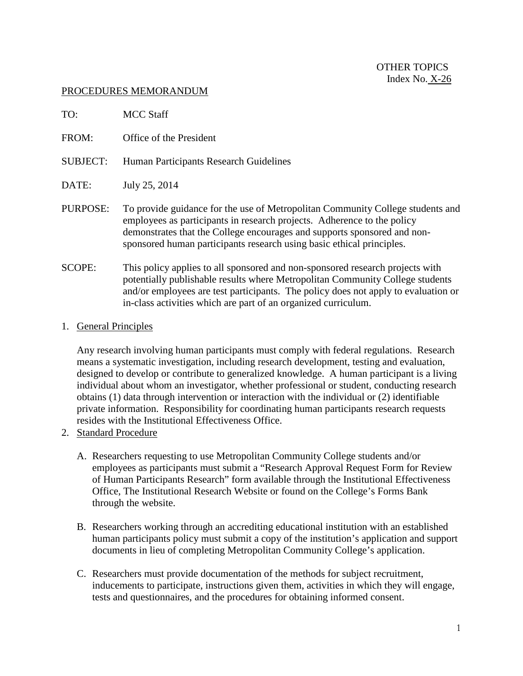## PROCEDURES MEMORANDUM

| TO:             | <b>MCC Staff</b>                                                                                                                                                                                                                                                                                                       |
|-----------------|------------------------------------------------------------------------------------------------------------------------------------------------------------------------------------------------------------------------------------------------------------------------------------------------------------------------|
| FROM:           | Office of the President                                                                                                                                                                                                                                                                                                |
| <b>SUBJECT:</b> | Human Participants Research Guidelines                                                                                                                                                                                                                                                                                 |
| DATE:           | July 25, 2014                                                                                                                                                                                                                                                                                                          |
| PURPOSE:        | To provide guidance for the use of Metropolitan Community College students and<br>employees as participants in research projects. Adherence to the policy<br>demonstrates that the College encourages and supports sponsored and non-<br>sponsored human participants research using basic ethical principles.         |
| <b>SCOPE:</b>   | This policy applies to all sponsored and non-sponsored research projects with<br>potentially publishable results where Metropolitan Community College students<br>and/or employees are test participants. The policy does not apply to evaluation or<br>in-class activities which are part of an organized curriculum. |

## 1. General Principles

Any research involving human participants must comply with federal regulations. Research means a systematic investigation, including research development, testing and evaluation, designed to develop or contribute to generalized knowledge. A human participant is a living individual about whom an investigator, whether professional or student, conducting research obtains (1) data through intervention or interaction with the individual or (2) identifiable private information. Responsibility for coordinating human participants research requests resides with the Institutional Effectiveness Office.

- 2. Standard Procedure
	- A. Researchers requesting to use Metropolitan Community College students and/or employees as participants must submit a "Research Approval Request Form for Review of Human Participants Research" form available through the Institutional Effectiveness Office, The Institutional Research Website or found on the College's Forms Bank through the website.
	- B. Researchers working through an accrediting educational institution with an established human participants policy must submit a copy of the institution's application and support documents in lieu of completing Metropolitan Community College's application.
	- C. Researchers must provide documentation of the methods for subject recruitment, inducements to participate, instructions given them, activities in which they will engage, tests and questionnaires, and the procedures for obtaining informed consent.